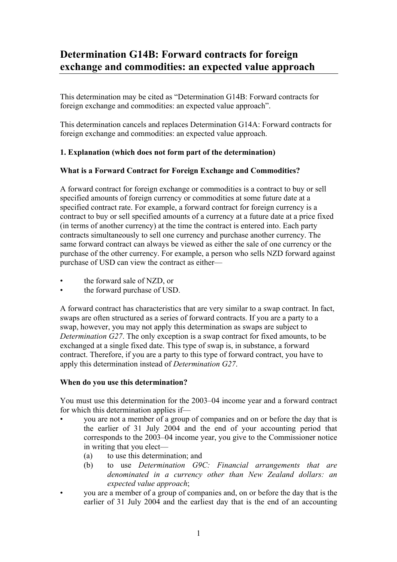# **Determination G14B: Forward contracts for foreign exchange and commodities: an expected value approach**

This determination may be cited as "Determination G14B: Forward contracts for foreign exchange and commodities: an expected value approach".

This determination cancels and replaces Determination G14A: Forward contracts for foreign exchange and commodities: an expected value approach.

## **1. Explanation (which does not form part of the determination)**

## **What is a Forward Contract for Foreign Exchange and Commodities?**

A forward contract for foreign exchange or commodities is a contract to buy or sell specified amounts of foreign currency or commodities at some future date at a specified contract rate. For example, a forward contract for foreign currency is a contract to buy or sell specified amounts of a currency at a future date at a price fixed (in terms of another currency) at the time the contract is entered into. Each party contracts simultaneously to sell one currency and purchase another currency. The same forward contract can always be viewed as either the sale of one currency or the purchase of the other currency. For example, a person who sells NZD forward against purchase of USD can view the contract as either—

- the forward sale of NZD, or
- the forward purchase of USD.

A forward contract has characteristics that are very similar to a swap contract. In fact, swaps are often structured as a series of forward contracts. If you are a party to a swap, however, you may not apply this determination as swaps are subject to *Determination G27*. The only exception is a swap contract for fixed amounts, to be exchanged at a single fixed date. This type of swap is, in substance, a forward contract. Therefore, if you are a party to this type of forward contract, you have to apply this determination instead of *Determination G27*.

## **When do you use this determination?**

You must use this determination for the 2003–04 income year and a forward contract for which this determination applies if—

- you are not a member of a group of companies and on or before the day that is the earlier of 31 July 2004 and the end of your accounting period that corresponds to the 2003–04 income year, you give to the Commissioner notice in writing that you elect—
	- (a) to use this determination; and
	- (b) to use *Determination G9C: Financial arrangements that are denominated in a currency other than New Zealand dollars: an expected value approach*;
- you are a member of a group of companies and, on or before the day that is the earlier of 31 July 2004 and the earliest day that is the end of an accounting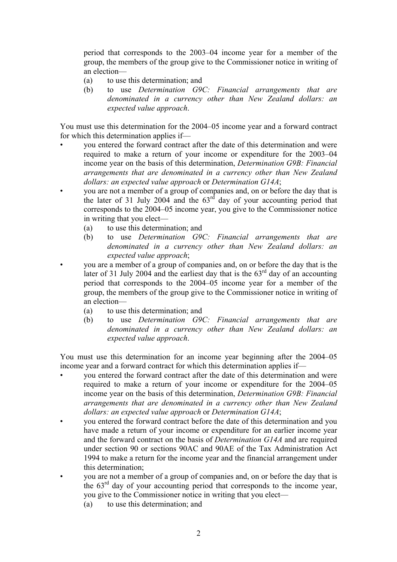period that corresponds to the 2003–04 income year for a member of the group, the members of the group give to the Commissioner notice in writing of an election—

- (a) to use this determination; and
- (b) to use *Determination G9C: Financial arrangements that are denominated in a currency other than New Zealand dollars: an expected value approach*.

You must use this determination for the 2004–05 income year and a forward contract for which this determination applies if—

- you entered the forward contract after the date of this determination and were required to make a return of your income or expenditure for the 2003–04 income year on the basis of this determination, *Determination G9B: Financial arrangements that are denominated in a currency other than New Zealand dollars: an expected value approach* or *Determination G14A*;
- you are not a member of a group of companies and, on or before the day that is the later of 31 July 2004 and the  $63<sup>rd</sup>$  day of your accounting period that corresponds to the 2004–05 income year, you give to the Commissioner notice in writing that you elect—
	- (a) to use this determination; and
	- (b) to use *Determination G9C: Financial arrangements that are denominated in a currency other than New Zealand dollars: an expected value approach*;
	- you are a member of a group of companies and, on or before the day that is the later of 31 July 2004 and the earliest day that is the  $63<sup>rd</sup>$  day of an accounting period that corresponds to the 2004–05 income year for a member of the group, the members of the group give to the Commissioner notice in writing of an election—
		- (a) to use this determination; and
		- (b) to use *Determination G9C: Financial arrangements that are denominated in a currency other than New Zealand dollars: an expected value approach*.

You must use this determination for an income year beginning after the 2004–05 income year and a forward contract for which this determination applies if—

- you entered the forward contract after the date of this determination and were required to make a return of your income or expenditure for the 2004–05 income year on the basis of this determination, *Determination G9B: Financial arrangements that are denominated in a currency other than New Zealand dollars: an expected value approach* or *Determination G14A*;
- you entered the forward contract before the date of this determination and you have made a return of your income or expenditure for an earlier income year and the forward contract on the basis of *Determination G14A* and are required under section 90 or sections 90AC and 90AE of the Tax Administration Act 1994 to make a return for the income year and the financial arrangement under this determination;
- you are not a member of a group of companies and, on or before the day that is the 63rd day of your accounting period that corresponds to the income year, you give to the Commissioner notice in writing that you elect—
	- (a) to use this determination; and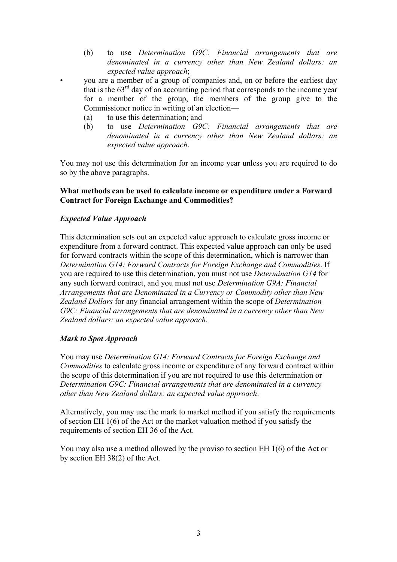- (b) to use *Determination G9C: Financial arrangements that are denominated in a currency other than New Zealand dollars: an expected value approach*;
- you are a member of a group of companies and, on or before the earliest day that is the  $63<sup>rd</sup>$  day of an accounting period that corresponds to the income year for a member of the group, the members of the group give to the Commissioner notice in writing of an election—
- (a) to use this determination; and
- (b) to use *Determination G9C: Financial arrangements that are denominated in a currency other than New Zealand dollars: an expected value approach*.

You may not use this determination for an income year unless you are required to do so by the above paragraphs.

### **What methods can be used to calculate income or expenditure under a Forward Contract for Foreign Exchange and Commodities?**

### *Expected Value Approach*

This determination sets out an expected value approach to calculate gross income or expenditure from a forward contract. This expected value approach can only be used for forward contracts within the scope of this determination, which is narrower than *Determination G14: Forward Contracts for Foreign Exchange and Commodities*. If you are required to use this determination, you must not use *Determination G14* for any such forward contract, and you must not use *Determination G9A: Financial Arrangements that are Denominated in a Currency or Commodity other than New Zealand Dollars* for any financial arrangement within the scope of *Determination G9C: Financial arrangements that are denominated in a currency other than New Zealand dollars: an expected value approach*.

#### *Mark to Spot Approach*

You may use *Determination G14: Forward Contracts for Foreign Exchange and Commodities* to calculate gross income or expenditure of any forward contract within the scope of this determination if you are not required to use this determination or *Determination G9C: Financial arrangements that are denominated in a currency other than New Zealand dollars: an expected value approach*.

Alternatively, you may use the mark to market method if you satisfy the requirements of section EH 1(6) of the Act or the market valuation method if you satisfy the requirements of section EH 36 of the Act.

You may also use a method allowed by the proviso to section EH 1(6) of the Act or by section EH 38(2) of the Act.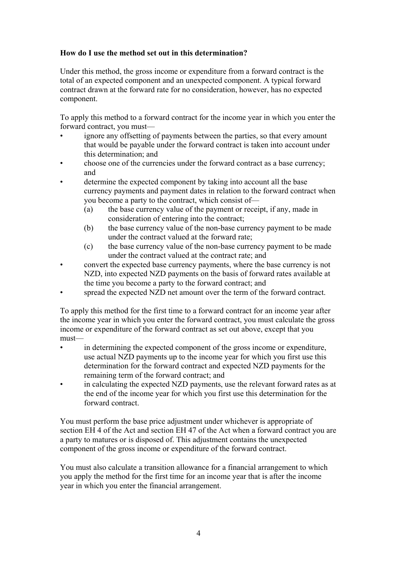## **How do I use the method set out in this determination?**

Under this method, the gross income or expenditure from a forward contract is the total of an expected component and an unexpected component. A typical forward contract drawn at the forward rate for no consideration, however, has no expected component.

To apply this method to a forward contract for the income year in which you enter the forward contract, you must—

- ignore any offsetting of payments between the parties, so that every amount that would be payable under the forward contract is taken into account under this determination; and
- choose one of the currencies under the forward contract as a base currency; and
- determine the expected component by taking into account all the base currency payments and payment dates in relation to the forward contract when you become a party to the contract, which consist of—
	- (a) the base currency value of the payment or receipt, if any, made in consideration of entering into the contract;
	- (b) the base currency value of the non-base currency payment to be made under the contract valued at the forward rate;
	- (c) the base currency value of the non-base currency payment to be made under the contract valued at the contract rate; and
- convert the expected base currency payments, where the base currency is not NZD, into expected NZD payments on the basis of forward rates available at the time you become a party to the forward contract; and
- spread the expected NZD net amount over the term of the forward contract.

To apply this method for the first time to a forward contract for an income year after the income year in which you enter the forward contract, you must calculate the gross income or expenditure of the forward contract as set out above, except that you must—

- in determining the expected component of the gross income or expenditure, use actual NZD payments up to the income year for which you first use this determination for the forward contract and expected NZD payments for the remaining term of the forward contract; and
- in calculating the expected NZD payments, use the relevant forward rates as at the end of the income year for which you first use this determination for the forward contract.

You must perform the base price adjustment under whichever is appropriate of section EH 4 of the Act and section EH 47 of the Act when a forward contract you are a party to matures or is disposed of. This adjustment contains the unexpected component of the gross income or expenditure of the forward contract.

You must also calculate a transition allowance for a financial arrangement to which you apply the method for the first time for an income year that is after the income year in which you enter the financial arrangement.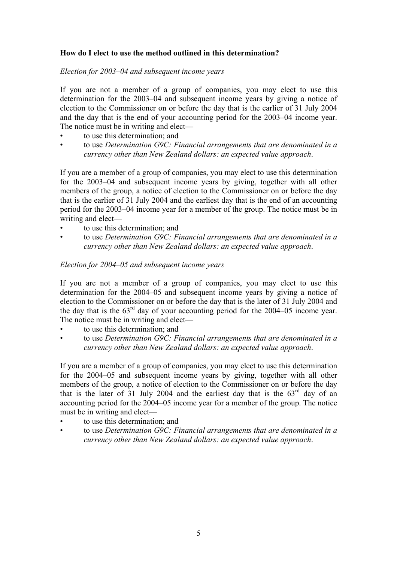## **How do I elect to use the method outlined in this determination?**

#### *Election for 2003–04 and subsequent income years*

If you are not a member of a group of companies, you may elect to use this determination for the 2003–04 and subsequent income years by giving a notice of election to the Commissioner on or before the day that is the earlier of 31 July 2004 and the day that is the end of your accounting period for the 2003–04 income year. The notice must be in writing and elect—

- to use this determination; and
- to use *Determination G9C: Financial arrangements that are denominated in a currency other than New Zealand dollars: an expected value approach*.

If you are a member of a group of companies, you may elect to use this determination for the 2003–04 and subsequent income years by giving, together with all other members of the group, a notice of election to the Commissioner on or before the day that is the earlier of 31 July 2004 and the earliest day that is the end of an accounting period for the 2003–04 income year for a member of the group. The notice must be in writing and elect—

- to use this determination; and
- to use *Determination G9C: Financial arrangements that are denominated in a currency other than New Zealand dollars: an expected value approach*.

#### *Election for 2004–05 and subsequent income years*

If you are not a member of a group of companies, you may elect to use this determination for the 2004–05 and subsequent income years by giving a notice of election to the Commissioner on or before the day that is the later of 31 July 2004 and the day that is the  $63<sup>rd</sup>$  day of your accounting period for the 2004–05 income year. The notice must be in writing and elect—

- to use this determination; and
- to use *Determination G9C: Financial arrangements that are denominated in a currency other than New Zealand dollars: an expected value approach*.

If you are a member of a group of companies, you may elect to use this determination for the 2004–05 and subsequent income years by giving, together with all other members of the group, a notice of election to the Commissioner on or before the day that is the later of 31 July 2004 and the earliest day that is the  $63<sup>rd</sup>$  day of an accounting period for the 2004–05 income year for a member of the group. The notice must be in writing and elect—

- to use this determination; and
- to use *Determination G9C: Financial arrangements that are denominated in a currency other than New Zealand dollars: an expected value approach*.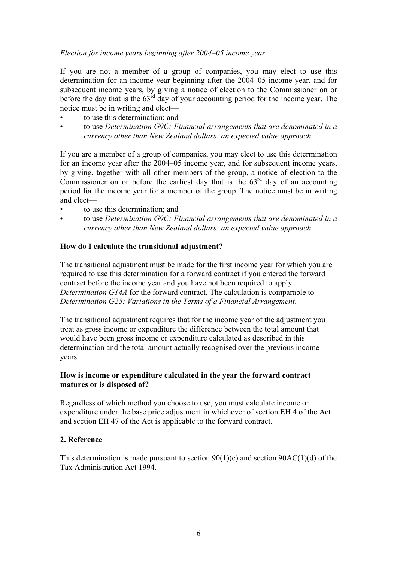## *Election for income years beginning after 2004–05 income year*

If you are not a member of a group of companies, you may elect to use this determination for an income year beginning after the 2004–05 income year, and for subsequent income years, by giving a notice of election to the Commissioner on or before the day that is the  $63<sup>rd</sup>$  day of your accounting period for the income year. The notice must be in writing and elect—

- to use this determination; and
- to use *Determination G9C: Financial arrangements that are denominated in a currency other than New Zealand dollars: an expected value approach*.

If you are a member of a group of companies, you may elect to use this determination for an income year after the 2004–05 income year, and for subsequent income years, by giving, together with all other members of the group, a notice of election to the Commissioner on or before the earliest day that is the  $63<sup>rd</sup>$  day of an accounting period for the income year for a member of the group. The notice must be in writing and elect—

- to use this determination; and
- to use *Determination G9C: Financial arrangements that are denominated in a currency other than New Zealand dollars: an expected value approach*.

### **How do I calculate the transitional adjustment?**

The transitional adjustment must be made for the first income year for which you are required to use this determination for a forward contract if you entered the forward contract before the income year and you have not been required to apply *Determination G14A* for the forward contract. The calculation is comparable to *Determination G25: Variations in the Terms of a Financial Arrangement*.

The transitional adjustment requires that for the income year of the adjustment you treat as gross income or expenditure the difference between the total amount that would have been gross income or expenditure calculated as described in this determination and the total amount actually recognised over the previous income years.

### **How is income or expenditure calculated in the year the forward contract matures or is disposed of?**

Regardless of which method you choose to use, you must calculate income or expenditure under the base price adjustment in whichever of section EH 4 of the Act and section EH 47 of the Act is applicable to the forward contract.

## **2. Reference**

This determination is made pursuant to section  $90(1)(c)$  and section  $90AC(1)(d)$  of the Tax Administration Act 1994.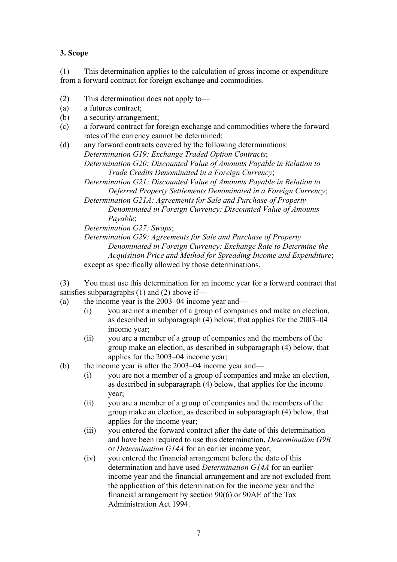## **3. Scope**

(1) This determination applies to the calculation of gross income or expenditure from a forward contract for foreign exchange and commodities.

- (2) This determination does not apply to—
- (a) a futures contract;
- (b) a security arrangement;
- (c) a forward contract for foreign exchange and commodities where the forward rates of the currency cannot be determined;
- (d) any forward contracts covered by the following determinations: *Determination G19: Exchange Traded Option Contracts*;

*Determination G20: Discounted Value of Amounts Payable in Relation to Trade Credits Denominated in a Foreign Currency*;

- *Determination G21: Discounted Value of Amounts Payable in Relation to Deferred Property Settlements Denominated in a Foreign Currency*;
- *Determination G21A: Agreements for Sale and Purchase of Property Denominated in Foreign Currency: Discounted Value of Amounts Payable*;

*Determination G27: Swaps*;

*Determination G29: Agreements for Sale and Purchase of Property Denominated in Foreign Currency: Exchange Rate to Determine the Acquisition Price and Method for Spreading Income and Expenditure*; except as specifically allowed by those determinations.

(3) You must use this determination for an income year for a forward contract that satisfies subparagraphs (1) and (2) above if—

- (a) the income year is the 2003–04 income year and—
	- (i) you are not a member of a group of companies and make an election, as described in subparagraph (4) below, that applies for the 2003–04 income year;
	- (ii) you are a member of a group of companies and the members of the group make an election, as described in subparagraph (4) below, that applies for the 2003–04 income year;
- (b) the income year is after the 2003–04 income year and—
	- (i) you are not a member of a group of companies and make an election, as described in subparagraph (4) below, that applies for the income year;
	- (ii) you are a member of a group of companies and the members of the group make an election, as described in subparagraph (4) below, that applies for the income year;
	- (iii) you entered the forward contract after the date of this determination and have been required to use this determination, *Determination G9B* or *Determination G14A* for an earlier income year;
	- (iv) you entered the financial arrangement before the date of this determination and have used *Determination G14A* for an earlier income year and the financial arrangement and are not excluded from the application of this determination for the income year and the financial arrangement by section 90(6) or 90AE of the Tax Administration Act 1994.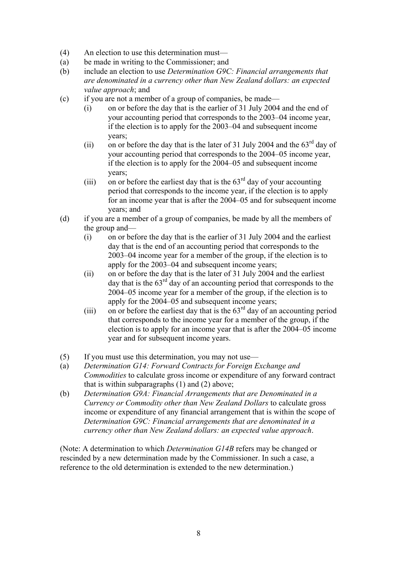- (4) An election to use this determination must—
- (a) be made in writing to the Commissioner; and
- (b) include an election to use *Determination G9C: Financial arrangements that are denominated in a currency other than New Zealand dollars: an expected value approach*; and
- (c) if you are not a member of a group of companies, be made—
	- (i) on or before the day that is the earlier of 31 July 2004 and the end of your accounting period that corresponds to the 2003–04 income year, if the election is to apply for the 2003–04 and subsequent income years;
	- (ii) on or before the day that is the later of 31 July 2004 and the  $63<sup>rd</sup>$  day of your accounting period that corresponds to the 2004–05 income year, if the election is to apply for the 2004–05 and subsequent income years;
	- (iii) on or before the earliest day that is the  $63<sup>rd</sup>$  day of your accounting period that corresponds to the income year, if the election is to apply for an income year that is after the 2004–05 and for subsequent income years; and
- (d) if you are a member of a group of companies, be made by all the members of the group and—
	- (i) on or before the day that is the earlier of 31 July 2004 and the earliest day that is the end of an accounting period that corresponds to the 2003–04 income year for a member of the group, if the election is to apply for the 2003–04 and subsequent income years;
	- (ii) on or before the day that is the later of 31 July 2004 and the earliest day that is the  $63<sup>rd</sup>$  day of an accounting period that corresponds to the 2004–05 income year for a member of the group, if the election is to apply for the 2004–05 and subsequent income years;
	- (iii) on or before the earliest day that is the  $63<sup>rd</sup>$  day of an accounting period that corresponds to the income year for a member of the group, if the election is to apply for an income year that is after the 2004–05 income year and for subsequent income years.
- (5) If you must use this determination, you may not use—
- (a) *Determination G14: Forward Contracts for Foreign Exchange and Commodities* to calculate gross income or expenditure of any forward contract that is within subparagraphs (1) and (2) above;
- (b) *Determination G9A: Financial Arrangements that are Denominated in a Currency or Commodity other than New Zealand Dollars* to calculate gross income or expenditure of any financial arrangement that is within the scope of *Determination G9C: Financial arrangements that are denominated in a currency other than New Zealand dollars: an expected value approach*.

(Note: A determination to which *Determination G14B* refers may be changed or rescinded by a new determination made by the Commissioner. In such a case, a reference to the old determination is extended to the new determination.)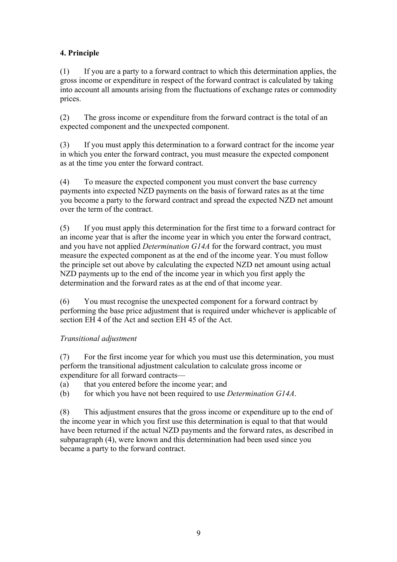## **4. Principle**

(1) If you are a party to a forward contract to which this determination applies, the gross income or expenditure in respect of the forward contract is calculated by taking into account all amounts arising from the fluctuations of exchange rates or commodity prices.

(2) The gross income or expenditure from the forward contract is the total of an expected component and the unexpected component.

(3) If you must apply this determination to a forward contract for the income year in which you enter the forward contract, you must measure the expected component as at the time you enter the forward contract.

(4) To measure the expected component you must convert the base currency payments into expected NZD payments on the basis of forward rates as at the time you become a party to the forward contract and spread the expected NZD net amount over the term of the contract.

(5) If you must apply this determination for the first time to a forward contract for an income year that is after the income year in which you enter the forward contract, and you have not applied *Determination G14A* for the forward contract, you must measure the expected component as at the end of the income year. You must follow the principle set out above by calculating the expected NZD net amount using actual NZD payments up to the end of the income year in which you first apply the determination and the forward rates as at the end of that income year.

(6) You must recognise the unexpected component for a forward contract by performing the base price adjustment that is required under whichever is applicable of section EH 4 of the Act and section EH 45 of the Act.

## *Transitional adjustment*

(7) For the first income year for which you must use this determination, you must perform the transitional adjustment calculation to calculate gross income or expenditure for all forward contracts—

- (a) that you entered before the income year; and
- (b) for which you have not been required to use *Determination G14A*.

(8) This adjustment ensures that the gross income or expenditure up to the end of the income year in which you first use this determination is equal to that that would have been returned if the actual NZD payments and the forward rates, as described in subparagraph (4), were known and this determination had been used since you became a party to the forward contract.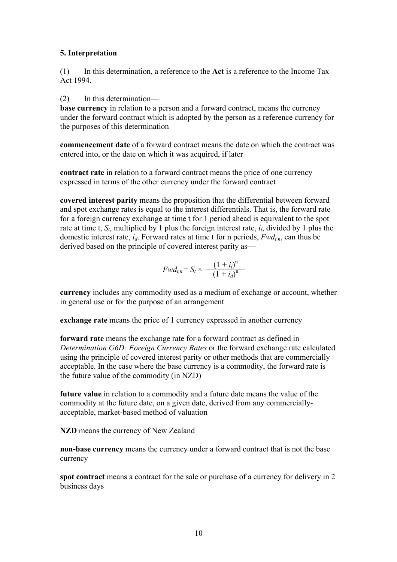## **5. Interpretation**

(1) In this determination, a reference to the **Act** is a reference to the Income Tax Act 1994.

(2) In this determination—

**base currency** in relation to a person and a forward contract, means the currency under the forward contract which is adopted by the person as a reference currency for the purposes of this determination

**commencement date** of a forward contract means the date on which the contract was entered into, or the date on which it was acquired, if later

**contract rate** in relation to a forward contract means the price of one currency expressed in terms of the other currency under the forward contract

**covered interest parity** means the proposition that the differential between forward and spot exchange rates is equal to the interest differentials. That is, the forward rate for a foreign currency exchange at time t for 1 period ahead is equivalent to the spot rate at time t,  $S_t$ , multiplied by 1 plus the foreign interest rate,  $i_f$ , divided by 1 plus the domestic interest rate, *id*. Forward rates at time t for n periods, *Fwdt,n*, can thus be derived based on the principle of covered interest parity as—

$$
Fwd_{t,n} = S_t \times \frac{(1+i_j)^n}{(1+i_d)^n}
$$

**currency** includes any commodity used as a medium of exchange or account, whether in general use or for the purpose of an arrangement

**exchange rate** means the price of 1 currency expressed in another currency

**forward rate** means the exchange rate for a forward contract as defined in *Determination G6D: Foreign Currency Rates* or the forward exchange rate calculated using the principle of covered interest parity or other methods that are commercially acceptable. In the case where the base currency is a commodity, the forward rate is the future value of the commodity (in NZD)

**future value** in relation to a commodity and a future date means the value of the commodity at the future date, on a given date, derived from any commerciallyacceptable, market-based method of valuation

**NZD** means the currency of New Zealand

**non-base currency** means the currency under a forward contract that is not the base currency

**spot contract** means a contract for the sale or purchase of a currency for delivery in 2 business days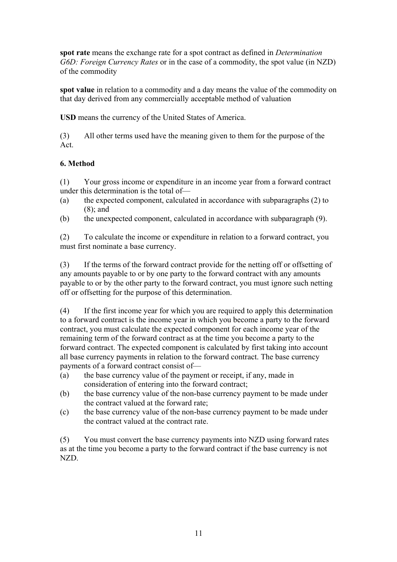**spot rate** means the exchange rate for a spot contract as defined in *Determination G6D: Foreign Currency Rates* or in the case of a commodity, the spot value (in NZD) of the commodity

**spot value** in relation to a commodity and a day means the value of the commodity on that day derived from any commercially acceptable method of valuation

**USD** means the currency of the United States of America.

(3) All other terms used have the meaning given to them for the purpose of the Act.

## **6. Method**

(1) Your gross income or expenditure in an income year from a forward contract under this determination is the total of—

- (a) the expected component, calculated in accordance with subparagraphs (2) to (8); and
- (b) the unexpected component, calculated in accordance with subparagraph (9).

(2) To calculate the income or expenditure in relation to a forward contract, you must first nominate a base currency.

(3) If the terms of the forward contract provide for the netting off or offsetting of any amounts payable to or by one party to the forward contract with any amounts payable to or by the other party to the forward contract, you must ignore such netting off or offsetting for the purpose of this determination.

(4) If the first income year for which you are required to apply this determination to a forward contract is the income year in which you become a party to the forward contract, you must calculate the expected component for each income year of the remaining term of the forward contract as at the time you become a party to the forward contract. The expected component is calculated by first taking into account all base currency payments in relation to the forward contract. The base currency payments of a forward contract consist of—

- (a) the base currency value of the payment or receipt, if any, made in consideration of entering into the forward contract;
- (b) the base currency value of the non-base currency payment to be made under the contract valued at the forward rate;
- (c) the base currency value of the non-base currency payment to be made under the contract valued at the contract rate.

(5) You must convert the base currency payments into NZD using forward rates as at the time you become a party to the forward contract if the base currency is not NZD.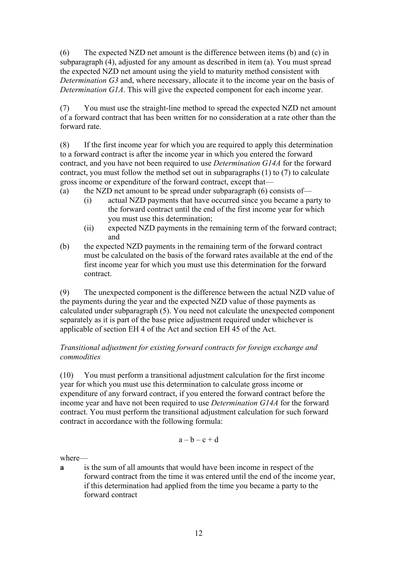(6) The expected NZD net amount is the difference between items (b) and (c) in subparagraph (4), adjusted for any amount as described in item (a). You must spread the expected NZD net amount using the yield to maturity method consistent with *Determination G3* and, where necessary, allocate it to the income year on the basis of *Determination G1A*. This will give the expected component for each income year.

(7) You must use the straight-line method to spread the expected NZD net amount of a forward contract that has been written for no consideration at a rate other than the forward rate.

(8) If the first income year for which you are required to apply this determination to a forward contract is after the income year in which you entered the forward contract, and you have not been required to use *Determination G14A* for the forward contract, you must follow the method set out in subparagraphs (1) to (7) to calculate gross income or expenditure of the forward contract, except that—

- (a) the NZD net amount to be spread under subparagraph  $(6)$  consists of—
	- (i) actual NZD payments that have occurred since you became a party to the forward contract until the end of the first income year for which you must use this determination;
	- (ii) expected NZD payments in the remaining term of the forward contract; and
- (b) the expected NZD payments in the remaining term of the forward contract must be calculated on the basis of the forward rates available at the end of the first income year for which you must use this determination for the forward contract.

(9) The unexpected component is the difference between the actual NZD value of the payments during the year and the expected NZD value of those payments as calculated under subparagraph (5). You need not calculate the unexpected component separately as it is part of the base price adjustment required under whichever is applicable of section EH 4 of the Act and section EH 45 of the Act.

## *Transitional adjustment for existing forward contracts for foreign exchange and commodities*

(10) You must perform a transitional adjustment calculation for the first income year for which you must use this determination to calculate gross income or expenditure of any forward contract, if you entered the forward contract before the income year and have not been required to use *Determination G14A* for the forward contract. You must perform the transitional adjustment calculation for such forward contract in accordance with the following formula:

$$
a-b-c+d
$$

where—

**a** is the sum of all amounts that would have been income in respect of the forward contract from the time it was entered until the end of the income year, if this determination had applied from the time you became a party to the forward contract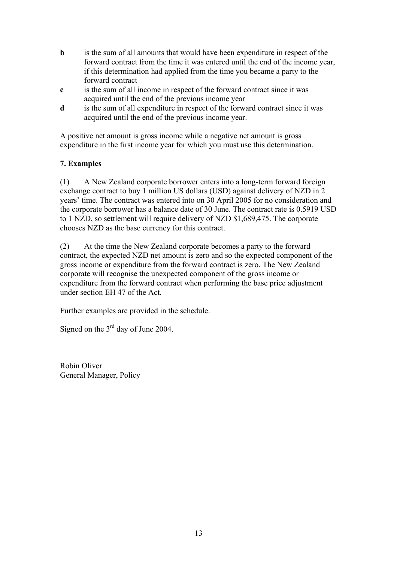- **b** is the sum of all amounts that would have been expenditure in respect of the forward contract from the time it was entered until the end of the income year, if this determination had applied from the time you became a party to the forward contract
- **c** is the sum of all income in respect of the forward contract since it was acquired until the end of the previous income year
- **d** is the sum of all expenditure in respect of the forward contract since it was acquired until the end of the previous income year.

A positive net amount is gross income while a negative net amount is gross expenditure in the first income year for which you must use this determination.

## **7. Examples**

(1) A New Zealand corporate borrower enters into a long-term forward foreign exchange contract to buy 1 million US dollars (USD) against delivery of NZD in 2 years' time. The contract was entered into on 30 April 2005 for no consideration and the corporate borrower has a balance date of 30 June. The contract rate is 0.5919 USD to 1 NZD, so settlement will require delivery of NZD \$1,689,475. The corporate chooses NZD as the base currency for this contract.

(2) At the time the New Zealand corporate becomes a party to the forward contract, the expected NZD net amount is zero and so the expected component of the gross income or expenditure from the forward contract is zero. The New Zealand corporate will recognise the unexpected component of the gross income or expenditure from the forward contract when performing the base price adjustment under section EH 47 of the Act.

Further examples are provided in the schedule.

Signed on the  $3<sup>rd</sup>$  day of June 2004.

Robin Oliver General Manager, Policy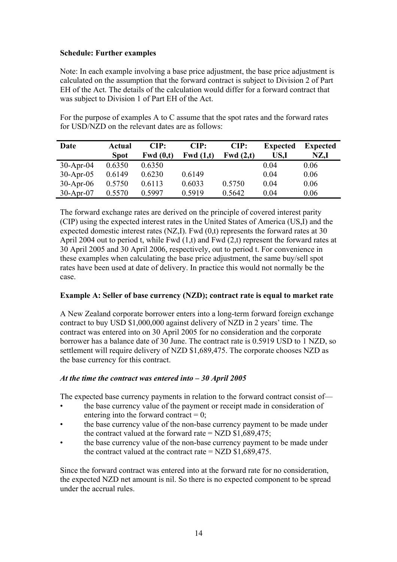### **Schedule: Further examples**

Note: In each example involving a base price adjustment, the base price adjustment is calculated on the assumption that the forward contract is subject to Division 2 of Part EH of the Act. The details of the calculation would differ for a forward contract that was subject to Division 1 of Part EH of the Act.

For the purpose of examples A to C assume that the spot rates and the forward rates for USD/NZD on the relevant dates are as follows:

| Date        | Actual      | CIP:        | CIP:        | CIP:        | <b>Expected</b> | <b>Expected</b> |
|-------------|-------------|-------------|-------------|-------------|-----------------|-----------------|
|             | <b>Spot</b> | Fwd $(0,t)$ | Fwd $(1,t)$ | Fwd $(2,t)$ | US,I            | NZ,I            |
| $30-Apr-04$ | 0.6350      | 0.6350      |             |             | 0.04            | 0.06            |
| $30-Apr-05$ | 0.6149      | 0.6230      | 0.6149      |             | 0.04            | 0.06            |
| $30-Apr-06$ | 0.5750      | 0.6113      | 0.6033      | 0.5750      | 0.04            | 0.06            |
| $30-Apr-07$ | 0.5570      | 0.5997      | 0.5919      | 0.5642      | 0.04            | 0.06            |

The forward exchange rates are derived on the principle of covered interest parity (CIP) using the expected interest rates in the United States of America (US,I) and the expected domestic interest rates (NZ,I). Fwd (0,t) represents the forward rates at 30 April 2004 out to period t, while Fwd  $(1,t)$  and Fwd  $(2,t)$  represent the forward rates at 30 April 2005 and 30 April 2006, respectively, out to period t. For convenience in these examples when calculating the base price adjustment, the same buy/sell spot rates have been used at date of delivery. In practice this would not normally be the case.

## **Example A: Seller of base currency (NZD); contract rate is equal to market rate**

A New Zealand corporate borrower enters into a long-term forward foreign exchange contract to buy USD \$1,000,000 against delivery of NZD in 2 years' time. The contract was entered into on 30 April 2005 for no consideration and the corporate borrower has a balance date of 30 June. The contract rate is 0.5919 USD to 1 NZD, so settlement will require delivery of NZD \$1,689,475. The corporate chooses NZD as the base currency for this contract.

#### *At the time the contract was entered into – 30 April 2005*

The expected base currency payments in relation to the forward contract consist of—

- the base currency value of the payment or receipt made in consideration of entering into the forward contract  $= 0$ :
- the base currency value of the non-base currency payment to be made under the contract valued at the forward rate =  $NZD $1,689,475$ ;
- the base currency value of the non-base currency payment to be made under the contract valued at the contract rate  $=$  NZD \$1,689,475.

Since the forward contract was entered into at the forward rate for no consideration, the expected NZD net amount is nil. So there is no expected component to be spread under the accrual rules.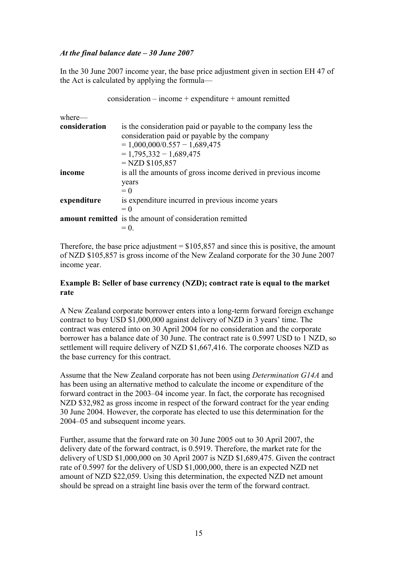### *At the final balance date – 30 June 2007*

In the 30 June 2007 income year, the base price adjustment given in section EH 47 of the Act is calculated by applying the formula—

 $consideration - income + expenditure + amount reminded$ 

| where—        |                                                                                                                                                                                                   |
|---------------|---------------------------------------------------------------------------------------------------------------------------------------------------------------------------------------------------|
| consideration | is the consideration paid or payable to the company less the<br>consideration paid or payable by the company<br>$= 1,000,000/0.557 - 1,689,475$<br>$= 1,795,332 - 1,689,475$<br>$=$ NZD \$105,857 |
| income        | is all the amounts of gross income derived in previous income                                                                                                                                     |
|               | years<br>$= 0$                                                                                                                                                                                    |
| expenditure   | is expenditure incurred in previous income years                                                                                                                                                  |
|               | $= 0$                                                                                                                                                                                             |
|               | <b>amount remitted</b> is the amount of consideration remitted                                                                                                                                    |
|               | $= 0$                                                                                                                                                                                             |

Therefore, the base price adjustment  $=$  \$105,857 and since this is positive, the amount of NZD \$105,857 is gross income of the New Zealand corporate for the 30 June 2007 income year.

#### **Example B: Seller of base currency (NZD); contract rate is equal to the market rate**

A New Zealand corporate borrower enters into a long-term forward foreign exchange contract to buy USD \$1,000,000 against delivery of NZD in 3 years' time. The contract was entered into on 30 April 2004 for no consideration and the corporate borrower has a balance date of 30 June. The contract rate is 0.5997 USD to 1 NZD, so settlement will require delivery of NZD \$1,667,416. The corporate chooses NZD as the base currency for this contract.

Assume that the New Zealand corporate has not been using *Determination G14A* and has been using an alternative method to calculate the income or expenditure of the forward contract in the 2003–04 income year. In fact, the corporate has recognised NZD \$32,982 as gross income in respect of the forward contract for the year ending 30 June 2004. However, the corporate has elected to use this determination for the 2004–05 and subsequent income years.

Further, assume that the forward rate on 30 June 2005 out to 30 April 2007, the delivery date of the forward contract, is 0.5919. Therefore, the market rate for the delivery of USD \$1,000,000 on 30 April 2007 is NZD \$1,689,475. Given the contract rate of 0.5997 for the delivery of USD \$1,000,000, there is an expected NZD net amount of NZD \$22,059. Using this determination, the expected NZD net amount should be spread on a straight line basis over the term of the forward contract.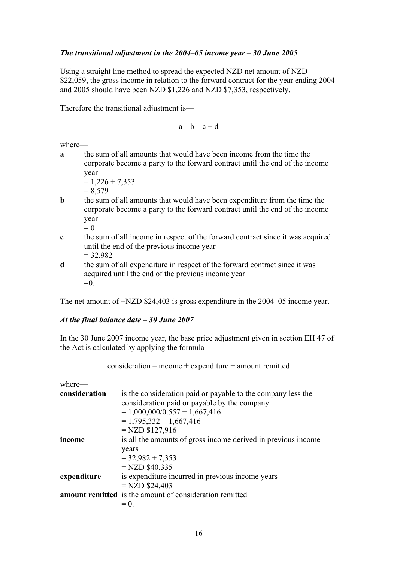## *The transitional adjustment in the 2004–05 income year – 30 June 2005*

Using a straight line method to spread the expected NZD net amount of NZD \$22,059, the gross income in relation to the forward contract for the year ending 2004 and 2005 should have been NZD \$1,226 and NZD \$7,353, respectively.

Therefore the transitional adjustment is—

 $a - b - c + d$ 

where—

**a** the sum of all amounts that would have been income from the time the corporate become a party to the forward contract until the end of the income year

$$
= 1,226 + 7,353
$$

- $= 8.579$
- **b** the sum of all amounts that would have been expenditure from the time the corporate become a party to the forward contract until the end of the income year  $= 0$
- **c** the sum of all income in respect of the forward contract since it was acquired until the end of the previous income year  $= 32,982$
- **d** the sum of all expenditure in respect of the forward contract since it was acquired until the end of the previous income year  $=0$

The net amount of −NZD \$24,403 is gross expenditure in the 2004–05 income year.

### *At the final balance date – 30 June 2007*

In the 30 June 2007 income year, the base price adjustment given in section EH 47 of the Act is calculated by applying the formula—

consideration – income + expenditure + amount remitted

where—

| consideration | is the consideration paid or payable to the company less the<br>consideration paid or payable by the company |
|---------------|--------------------------------------------------------------------------------------------------------------|
|               | $= 1,000,000/0.557 - 1,667,416$                                                                              |
|               | $= 1,795,332 - 1,667,416$                                                                                    |
|               | $=NZD $127,916$                                                                                              |
| income        | is all the amounts of gross income derived in previous income                                                |
|               | years                                                                                                        |
|               | $=$ 32,982 + 7,353                                                                                           |
|               | $=$ NZD \$40,335                                                                                             |
| expenditure   | is expenditure incurred in previous income years                                                             |
|               | $=NZD $24,403$                                                                                               |
|               | <b>amount remitted</b> is the amount of consideration remitted                                               |
|               | $= 0$                                                                                                        |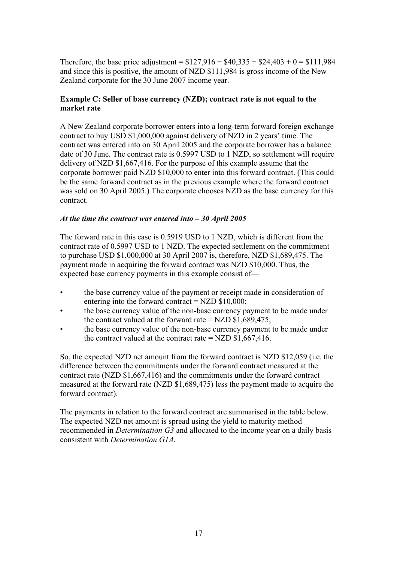Therefore, the base price adjustment =  $$127,916 - $40,335 + $24,403 + 0 = $111,984$ and since this is positive, the amount of NZD \$111,984 is gross income of the New Zealand corporate for the 30 June 2007 income year.

### **Example C: Seller of base currency (NZD); contract rate is not equal to the market rate**

A New Zealand corporate borrower enters into a long-term forward foreign exchange contract to buy USD \$1,000,000 against delivery of NZD in 2 years' time. The contract was entered into on 30 April 2005 and the corporate borrower has a balance date of 30 June. The contract rate is 0.5997 USD to 1 NZD, so settlement will require delivery of NZD \$1,667,416. For the purpose of this example assume that the corporate borrower paid NZD \$10,000 to enter into this forward contract. (This could be the same forward contract as in the previous example where the forward contract was sold on 30 April 2005.) The corporate chooses NZD as the base currency for this contract.

#### *At the time the contract was entered into – 30 April 2005*

The forward rate in this case is 0.5919 USD to 1 NZD, which is different from the contract rate of 0.5997 USD to 1 NZD. The expected settlement on the commitment to purchase USD \$1,000,000 at 30 April 2007 is, therefore, NZD \$1,689,475. The payment made in acquiring the forward contract was NZD \$10,000. Thus, the expected base currency payments in this example consist of—

- the base currency value of the payment or receipt made in consideration of entering into the forward contract  $=$  NZD \$10,000;
- the base currency value of the non-base currency payment to be made under the contract valued at the forward rate = NZD  $$1,689,475$ ;
- the base currency value of the non-base currency payment to be made under the contract valued at the contract rate  $=$  NZD \$1,667,416.

So, the expected NZD net amount from the forward contract is NZD \$12,059 (i.e. the difference between the commitments under the forward contract measured at the contract rate (NZD \$1,667,416) and the commitments under the forward contract measured at the forward rate (NZD \$1,689,475) less the payment made to acquire the forward contract).

The payments in relation to the forward contract are summarised in the table below. The expected NZD net amount is spread using the yield to maturity method recommended in *Determination G3* and allocated to the income year on a daily basis consistent with *Determination G1A*.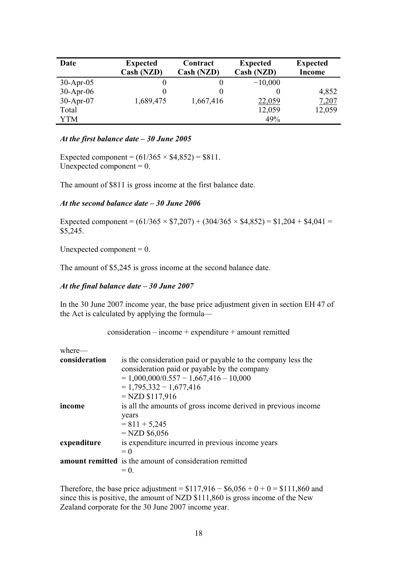| Date        | <b>Expected</b><br>Cash (NZD) | Contract<br>Cash (NZD) | <b>Expected</b><br>Cash (NZD) | <b>Expected</b><br>Income |
|-------------|-------------------------------|------------------------|-------------------------------|---------------------------|
| $30-Apr-05$ | O                             |                        | $-10,000$                     |                           |
| $30-Apr-06$ | $\theta$                      | $\theta$               | $\theta$                      | 4,852                     |
| $30-Apr-07$ | 1,689,475                     | 1,667,416              | 22,059                        | 7,207                     |
| Total       |                               |                        | 12,059                        | 12,059                    |
| YTM         |                               |                        | 49%                           |                           |

#### *At the first balance date – 30 June 2005*

Expected component =  $(61/365 \times $4,852) = $811$ . Unexpected component  $= 0$ .

The amount of \$811 is gross income at the first balance date.

#### *At the second balance date – 30 June 2006*

Expected component =  $(61/365 \times $7,207) + (304/365 \times $4,852) = $1,204 + $4,041 =$ \$5,245.

Unexpected component  $= 0$ .

The amount of \$5,245 is gross income at the second balance date.

#### *At the final balance date – 30 June 2007*

In the 30 June 2007 income year, the base price adjustment given in section EH 47 of the Act is calculated by applying the formula—

consideration – income + expenditure + amount remitted

| is the consideration paid or payable to the company less the   |
|----------------------------------------------------------------|
| consideration paid or payable by the company                   |
| $= 1,000,000/0.557 - 1,667,416 - 10,000$                       |
| $= 1,795,332 - 1,677,416$                                      |
| $=NZD $117,916$                                                |
| is all the amounts of gross income derived in previous income  |
| years                                                          |
| $= 811 + 5,245$                                                |
| $=$ NZD \$6,056                                                |
| is expenditure incurred in previous income years               |
| $= 0$                                                          |
| <b>amount remitted</b> is the amount of consideration remitted |
| $= 0.$                                                         |
|                                                                |

Therefore, the base price adjustment =  $$117,916 - $6,056 + 0 + 0 = $111,860$  and since this is positive, the amount of NZD \$111,860 is gross income of the New Zealand corporate for the 30 June 2007 income year.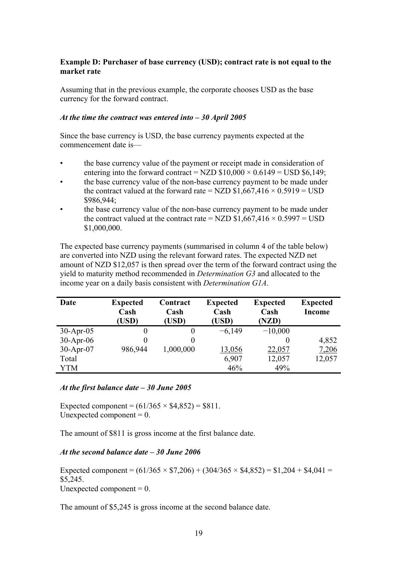### **Example D: Purchaser of base currency (USD); contract rate is not equal to the market rate**

Assuming that in the previous example, the corporate chooses USD as the base currency for the forward contract.

#### *At the time the contract was entered into – 30 April 2005*

Since the base currency is USD, the base currency payments expected at the commencement date is—

- the base currency value of the payment or receipt made in consideration of entering into the forward contract = NZD  $$10,000 \times 0.6149 =$  USD  $$6,149$ ;
- the base currency value of the non-base currency payment to be made under the contract valued at the forward rate = NZD  $$1,667,416 \times 0.5919 =$  USD \$986,944;
- the base currency value of the non-base currency payment to be made under the contract valued at the contract rate = NZD  $$1,667,416 \times 0.5997 =$  USD \$1,000,000.

The expected base currency payments (summarised in column 4 of the table below) are converted into NZD using the relevant forward rates. The expected NZD net amount of NZD \$12,057 is then spread over the term of the forward contract using the yield to maturity method recommended in *Determination G3* and allocated to the income year on a daily basis consistent with *Determination G1A*.

| Date        | <b>Expected</b><br>Cash<br>(USD) | Contract<br>Cash<br>(USD) | <b>Expected</b><br>Cash<br>(USD) | <b>Expected</b><br>Cash<br>(NZD) | <b>Expected</b><br><b>Income</b> |
|-------------|----------------------------------|---------------------------|----------------------------------|----------------------------------|----------------------------------|
| $30-Apr-05$ |                                  |                           | $-6,149$                         | $-10,000$                        |                                  |
| $30-Apr-06$ |                                  |                           |                                  |                                  | 4,852                            |
| 30-Apr-07   | 986,944                          | 1,000,000                 | 13,056                           | 22,057                           | 7,206                            |
| Total       |                                  |                           | 6,907                            | 12,057                           | 12,057                           |
| YTM         |                                  |                           | 46%                              | 49%                              |                                  |

#### *At the first balance date – 30 June 2005*

Expected component =  $(61/365 \times $4,852) = $811$ . Unexpected component  $= 0$ .

The amount of \$811 is gross income at the first balance date.

## *At the second balance date – 30 June 2006*

Expected component =  $(61/365 \times $7,206) + (304/365 \times $4,852) = $1,204 + $4,041 =$ \$5,245. Unexpected component  $= 0$ .

The amount of \$5,245 is gross income at the second balance date.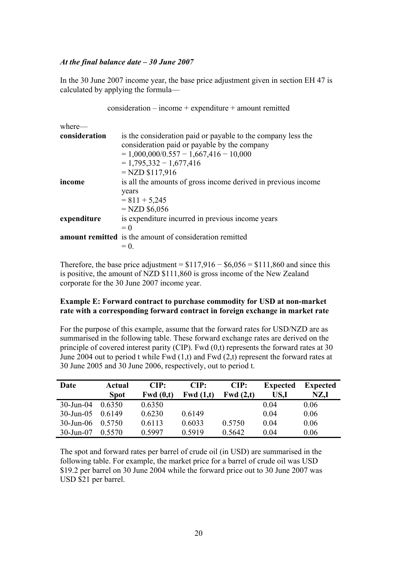#### *At the final balance date – 30 June 2007*

In the 30 June 2007 income year, the base price adjustment given in section EH 47 is calculated by applying the formula—

```
consideration – income + expenditure + amount remitted 
where— 
consideration is the consideration paid or payable to the company less the 
                 consideration paid or payable by the company 
                 = 1,000,000/0.557 - 1,667,416 - 10,000= 1,795,332 - 1,677,416 = NZD $117,916 
income is all the amounts of gross income derived in previous income
                 years 
                 = 811 + 5,245= NZD $6,056
expenditure is expenditure incurred in previous income years 
                 = 0amount remitted is the amount of consideration remitted 
                 = 0.
```
Therefore, the base price adjustment =  $$117,916 - $6,056 = $111,860$  and since this is positive, the amount of NZD \$111,860 is gross income of the New Zealand corporate for the 30 June 2007 income year.

#### **Example E: Forward contract to purchase commodity for USD at non-market rate with a corresponding forward contract in foreign exchange in market rate**

For the purpose of this example, assume that the forward rates for USD/NZD are as summarised in the following table. These forward exchange rates are derived on the principle of covered interest parity (CIP). Fwd (0,t) represents the forward rates at 30 June 2004 out to period t while Fwd (1,t) and Fwd (2,t) represent the forward rates at 30 June 2005 and 30 June 2006, respectively, out to period t.

| Date         | Actual      | CIP:     | CIP:        | CIP:        | <b>Expected</b> | <b>Expected</b> |
|--------------|-------------|----------|-------------|-------------|-----------------|-----------------|
|              | <b>Spot</b> | Fwd(0,t) | Fwd $(1,t)$ | Fwd $(2,t)$ | US.I            | NZ,I            |
| $30$ -Jun-04 | 0.6350      | 0.6350   |             |             | 0.04            | 0.06            |
| $30$ -Jun-05 | 0.6149      | 0.6230   | 0.6149      |             | 0.04            | 0.06            |
| $30$ -Jun-06 | 0.5750      | 0.6113   | 0.6033      | 0.5750      | 0.04            | 0.06            |
| $30$ -Jun-07 | 0.5570      | 0.5997   | 0.5919      | 0.5642      | 0.04            | 0.06            |

The spot and forward rates per barrel of crude oil (in USD) are summarised in the following table. For example, the market price for a barrel of crude oil was USD \$19.2 per barrel on 30 June 2004 while the forward price out to 30 June 2007 was USD \$21 per barrel.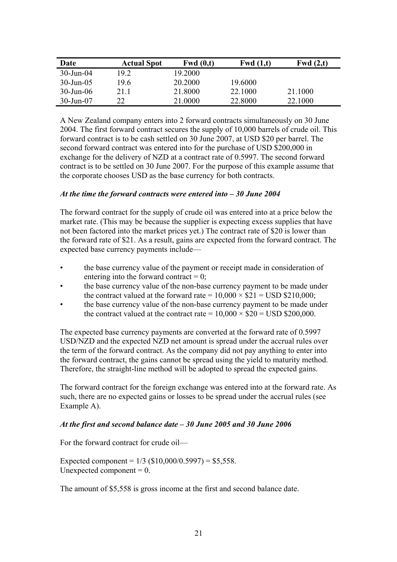| Date                   | <b>Actual Spot</b> | Fwd(0,t) | Fwd $(1,t)$ | Fwd $(2,t)$ |
|------------------------|--------------------|----------|-------------|-------------|
| $30$ -Jun- $04$        | 19.2               | 19.2000  |             |             |
| $30 - \text{Jun} - 05$ | 19.6               | 20.2000  | 19.6000     |             |
| $30 - Jun - 06$        | 21.1               | 21.8000  | 22.1000     | 21.1000     |
| 30-Jun-07              |                    | 21.0000  | 22.8000     | 22.1000     |

A New Zealand company enters into 2 forward contracts simultaneously on 30 June 2004. The first forward contract secures the supply of 10,000 barrels of crude oil. This forward contract is to be cash settled on 30 June 2007, at USD \$20 per barrel. The second forward contract was entered into for the purchase of USD \$200,000 in exchange for the delivery of NZD at a contract rate of 0.5997. The second forward contract is to be settled on 30 June 2007. For the purpose of this example assume that the corporate chooses USD as the base currency for both contracts.

### *At the time the forward contracts were entered into – 30 June 2004*

The forward contract for the supply of crude oil was entered into at a price below the market rate. (This may be because the supplier is expecting excess supplies that have not been factored into the market prices yet.) The contract rate of \$20 is lower than the forward rate of \$21. As a result, gains are expected from the forward contract. The expected base currency payments include—

- the base currency value of the payment or receipt made in consideration of entering into the forward contract  $= 0$ :
- the base currency value of the non-base currency payment to be made under the contract valued at the forward rate =  $10,000 \times $21 =$  USD \$210,000;
- the base currency value of the non-base currency payment to be made under the contract valued at the contract rate  $= 10,000 \times $20 =$  USD \$200,000.

The expected base currency payments are converted at the forward rate of 0.5997 USD/NZD and the expected NZD net amount is spread under the accrual rules over the term of the forward contract. As the company did not pay anything to enter into the forward contract, the gains cannot be spread using the yield to maturity method. Therefore, the straight-line method will be adopted to spread the expected gains.

The forward contract for the foreign exchange was entered into at the forward rate. As such, there are no expected gains or losses to be spread under the accrual rules (see Example A).

#### *At the first and second balance date – 30 June 2005 and 30 June 2006*

For the forward contract for crude oil—

Expected component =  $1/3$  (\$10,000/0.5997) = \$5,558. Unexpected component  $= 0$ .

The amount of \$5,558 is gross income at the first and second balance date.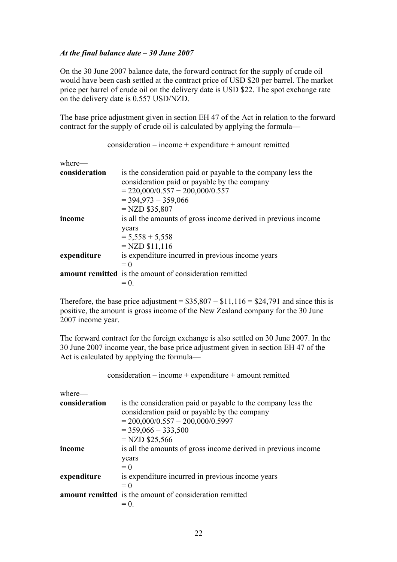### *At the final balance date – 30 June 2007*

On the 30 June 2007 balance date, the forward contract for the supply of crude oil would have been cash settled at the contract price of USD \$20 per barrel. The market price per barrel of crude oil on the delivery date is USD \$22. The spot exchange rate on the delivery date is 0.557 USD/NZD.

The base price adjustment given in section EH 47 of the Act in relation to the forward contract for the supply of crude oil is calculated by applying the formula—

consideration – income + expenditure + amount remitted

| where-        |                                                               |
|---------------|---------------------------------------------------------------|
| consideration | is the consideration paid or payable to the company less the  |
|               | consideration paid or payable by the company                  |
|               | $= 220,000/0.557 - 200,000/0.557$                             |
|               | $=$ 394,973 - 359,066                                         |
|               | $=$ NZD \$35,807                                              |
| income        | is all the amounts of gross income derived in previous income |
|               | years                                                         |
|               | $= 5,558 + 5,558$                                             |
|               | $=NZD $11,116$                                                |
| expenditure   | is expenditure incurred in previous income years              |
|               | $= 0$                                                         |
|               | amount remitted is the amount of consideration remitted       |
|               | $= 0$                                                         |

Therefore, the base price adjustment =  $$35,807 - $11,116 = $24,791$  and since this is positive, the amount is gross income of the New Zealand company for the 30 June 2007 income year.

The forward contract for the foreign exchange is also settled on 30 June 2007. In the 30 June 2007 income year, the base price adjustment given in section EH 47 of the Act is calculated by applying the formula—

```
consideration – income + expenditure + amount remitted
```
where—

| consideration | is the consideration paid or payable to the company less the<br>consideration paid or payable by the company |
|---------------|--------------------------------------------------------------------------------------------------------------|
|               | $= 200,000/0.557 - 200,000/0.5997$                                                                           |
|               | $=$ 359,066 $-$ 333,500                                                                                      |
|               | $=NZD $25,566$                                                                                               |
| income        | is all the amounts of gross income derived in previous income                                                |
|               | years<br>$= 0$                                                                                               |
| expenditure   | is expenditure incurred in previous income years<br>$= 0$                                                    |
|               | <b>amount remitted</b> is the amount of consideration remitted                                               |
|               | $= 0$                                                                                                        |